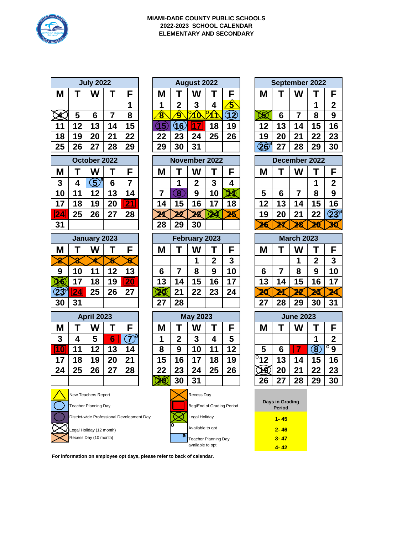

## **MIAMI-DADE COUNTY PUBLIC SCHOOLS 2022-2023 SCHOOL CALENDAR ELEMENTARY AND SECONDARY**

|                                            |                          | <b>July 2022</b>            |                |                              |               |                   |                  | <b>August 2022</b>        |                |                 |                   |                          |               | September 2022   |                       |                         |
|--------------------------------------------|--------------------------|-----------------------------|----------------|------------------------------|---------------|-------------------|------------------|---------------------------|----------------|-----------------|-------------------|--------------------------|---------------|------------------|-----------------------|-------------------------|
| M                                          | Т                        | W                           | Т              | F                            |               | M                 | Τ                | W                         | Т              | F               |                   | M                        | Т             | W                | Т                     | F                       |
|                                            |                          |                             |                | 1                            |               | 1                 | $\overline{2}$   | 3                         | 4              | <u>兮</u>        |                   |                          |               |                  | 1                     | $\boldsymbol{2}$        |
|                                            | 5                        | 6                           | $\overline{7}$ | 8                            |               | $\bf \overline 8$ | $\bf{\hat{9}}$   | $\boldsymbol{\delta}$     |                | $\overline{12}$ |                   | $\infty$                 | 6             | $\overline{7}$   | 8                     | 9                       |
| 11                                         | 12                       | 13                          | 14             | 15                           |               | 15                | (16)             | 1                         | 18             | 19              |                   | 12                       | 13            | 14               | 15                    | 16                      |
| 18                                         | 19                       | 20                          | 21             | 22                           |               | 22                | 23               | 24                        | 25             | 26              |                   | 19                       | 20            | 21               | 22                    | 23                      |
| 25                                         | 26                       | 27                          | 28             | 29                           |               | 29                | 30               | 31                        |                |                 |                   | $\textcircled{26}^\circ$ | 27            | 28               | 29                    | 30                      |
|                                            |                          | October 2022                |                |                              | November 2022 |                   |                  |                           |                |                 |                   |                          | December 2022 |                  |                       |                         |
| Μ                                          | Τ                        | W                           | Т              | F                            |               | M                 | т                | W                         | Τ              | F               |                   | M                        | Т             | W                | Т                     | F                       |
| 3                                          | 4                        | $\mathfrak{D}^{\mathsf{a}}$ | $6\phantom{1}$ | $\overline{7}$               |               |                   | 1                | $\overline{2}$            | 3              | 4               |                   |                          |               |                  | 1                     | $\mathbf{2}$            |
| 10                                         | 11                       | 12                          | 13             | 14                           |               | $\overline{7}$    | $\boxed{8}$      | 9                         | 10             | N               |                   | 5                        | 6             | $\overline{7}$   | 8                     | $\boldsymbol{9}$        |
| 17                                         | 18                       | 19                          | 20             | <u> 21</u>                   |               | 14                | 15               | 16                        | 17             | 18              |                   | 12                       | 13            | 14               | 15                    | 16                      |
| $\overline{24}$                            | 25                       | 26                          | 27             | 28                           |               |                   | 22               | 28                        | 24             | <u>२६</u>       |                   | 19                       | 20            | 21               | 22                    | $\widehat{\textbf{23}}$ |
| 31                                         |                          |                             |                |                              |               | 28                | 29               | 30                        |                |                 |                   | 26                       | 29<br>30      |                  |                       |                         |
| <b>January 2023</b>                        |                          |                             |                |                              | February 2023 |                   |                  |                           |                |                 | <b>March 2023</b> |                          |               |                  |                       |                         |
| Μ                                          | т                        | W                           | Т              | F                            |               | M                 | Т                | W                         | Т              | F               |                   | M                        | Т             | W                | Т                     | F                       |
| $\bar{\mathbf{z}}$                         |                          |                             |                | 6                            |               |                   |                  | 1                         | $\overline{2}$ | 3               |                   |                          |               | 1                | $\overline{2}$        | 3                       |
| 9                                          | 10                       | 11                          | 12             | 13                           |               | 6                 | $\overline{7}$   | 8                         | 9              | 10              |                   | 6                        | 7             | 8                | 9                     | 10                      |
| 46                                         | 17                       | 18                          | 19             | <b>20</b>                    |               | 13                | 14               | 15                        | 16             | 17              |                   | 13                       | 14            | 15               | 16                    | 17                      |
| $23^{\circ}$                               | 24                       | 25                          | 26             | 27                           |               | 20)               | 21               | 22                        | 23             | 24              |                   | 20                       |               | 22               |                       | 24                      |
| 30                                         | 31                       |                             |                |                              |               | 27                | 28               |                           |                |                 |                   | 27                       | 28            | 29               | 30                    | 31                      |
|                                            |                          | <b>April 2023</b>           |                |                              |               |                   |                  | <b>May 2023</b>           |                |                 |                   |                          |               | <b>June 2023</b> |                       |                         |
| M                                          | Т                        | W                           | Т              | F                            |               | M                 | Т                | W                         | Т              | F               |                   | M                        | Т             | W                | Т                     | F                       |
| 3                                          | 4                        | 5                           | 6              | $\widehat{Z}^{\overline{a}}$ |               | 1                 | $\overline{2}$   | 3                         | 4              | 5               |                   |                          |               |                  | 1                     | $\mathbf{2}$            |
| 10                                         | 11                       | 12                          | 13             | 14                           |               | 8                 | 9                | 10                        | 11             | 12              |                   | 5                        | 6             |                  | $\bigcircled{\!\!} 3$ | $\overline{0}$ 9        |
| 17                                         | 18                       | 19                          | 20             | 21                           |               | 15                | 16               | 17                        | 18             | 19              |                   | o<br>12                  | 13            | 14               | 15                    | 16                      |
| 24                                         | 25                       | 26                          | 27             | 28                           |               | 22                | 23               | 24                        | 25             | 26              |                   | 1Q)                      | 20            | 21               | 22                    | 23                      |
|                                            |                          |                             |                |                              |               |                   | 30               | 31                        |                |                 |                   | 26                       | 27            | 28               | 29                    | 30                      |
| New Teachers Report                        |                          |                             |                |                              |               |                   | Recess Day       |                           |                |                 |                   |                          |               |                  |                       |                         |
| <b>Teacher Planning Day</b>                |                          |                             |                | Beg/End of Grading Period    |               |                   |                  | Days in Grading<br>Period |                |                 |                   |                          |               |                  |                       |                         |
| District-wide Professional Development Day |                          |                             |                |                              | Legal Holiday |                   |                  |                           | $1 - 45$       |                 |                   |                          |               |                  |                       |                         |
|                                            | Legal Holiday (12 month) |                             |                |                              |               |                   | Available to opt |                           |                |                 |                   | $2 - 46$                 |               |                  |                       |                         |
|                                            | а                        |                             |                |                              |               |                   |                  |                           |                |                 |                   |                          |               |                  |                       |                         |

| <b>July 2022</b> |     |    |    |    | August 2022 |    |                 |    |       | September 2022 |         |    |
|------------------|-----|----|----|----|-------------|----|-----------------|----|-------|----------------|---------|----|
| W                |     |    | Μ  |    | W           |    |                 | M  |       | W              |         |    |
|                  |     |    |    | n  | 3           |    | 5               |    |       |                |         | 2  |
| 6                |     | 8  | о  |    |             |    | $\overline{12}$ |    | 6     |                | 8       | 9  |
| 13               | 4   | 15 |    |    |             | 18 | 19              | 12 | 13    | 14             | .5<br>4 | 16 |
| 20               | - 1 | 22 | 22 | 23 | 24          | 25 | 26              | 19 | 20    | 21             | 22      | 23 |
| 27               | 28  | 29 | 29 | 30 | 31          |    |                 |    | $2^7$ | 28             | 29      | 30 |

|    | October 2022 |    |    |     | November 2022 |    |    |    |    |    | December 2022 |    |
|----|--------------|----|----|-----|---------------|----|----|----|----|----|---------------|----|
|    | W            |    |    | M   |               |    |    |    | M  |    |               |    |
|    |              | 6  |    |     |               | ŋ  | 3  |    |    |    |               |    |
| 11 | 12           | 13 | 14 |     |               | 9  | 10 |    | Э  | 6  |               | 8  |
| 18 | 9            | 20 |    | 14  | 15            | 16 | 47 | 18 | 12 | 13 | 14            | 15 |
| 25 | 26           | 27 | 28 |     |               |    |    |    | ١g | 20 | 21            | 22 |
|    |              |    |    | - 0 |               | 30 |    |    |    |    |               |    |

|    | January 2023 |    |    | February 2023 |    |    |    |    | <b>March 2023</b> |   |    |    |
|----|--------------|----|----|---------------|----|----|----|----|-------------------|---|----|----|
|    | W            |    |    |               |    | W  |    |    | M                 |   |    |    |
|    |              |    |    |               |    |    |    | 3  |                   |   |    | 2  |
| 10 |              | 12 | 13 |               |    | 8  |    | 10 | 6                 |   | О  | 9  |
| 17 | 18           | 19 |    | 13            | 14 | 15 | 16 | 17 | 13                | 4 | 15 | 16 |
| 24 | 25           | 26 | 27 |               | 21 | 22 | 23 | 24 |                   |   |    |    |
| 31 |              |    |    | ŋ             | 28 |    |    |    | 27                | 8 | 20 | 30 |

|   | <b>April 2023</b> |    |    |    |    | <b>May 2023</b> |    |    |            |    | <b>June 2023</b> |                   |              |
|---|-------------------|----|----|----|----|-----------------|----|----|------------|----|------------------|-------------------|--------------|
|   | W                 |    |    | M  |    | W               |    | F  | M          |    | w                |                   |              |
|   | 5                 |    |    |    | າ  | 3               |    | 5  |            |    |                  |                   | כי           |
|   | 12                | 13 | 14 | 8  | 9  | 10              |    | 12 | 5          |    |                  | $\bf \overline 8$ | $^{\circ}$ 9 |
| 8 | 19                | 20 | 21 | 15 | 16 | 17              | 18 | 19 | $^{10}$ 12 | 13 | 4                | 15                | 16           |
| 5 | 26                | 27 | 28 | 22 | 23 | 24              | 25 | 26 |            | 20 | 21               | 22                | 23           |
|   |                   |    |    |    | 30 | 31              |    |    | 26         | 2  | 28               | 29                | 30           |



| <b>September 2022</b>           |    |    |    |              |  |  |  |  |  |
|---------------------------------|----|----|----|--------------|--|--|--|--|--|
| F<br>W<br>M                     |    |    |    |              |  |  |  |  |  |
|                                 |    |    |    | $\mathbf{2}$ |  |  |  |  |  |
|                                 | 6  | 7  | 8  | 9            |  |  |  |  |  |
| 12                              | 13 | 14 | 15 | 16           |  |  |  |  |  |
| 19                              | 20 | 21 | 22 | 23           |  |  |  |  |  |
| $\mathbf{e}^{\mathbf{e}}$<br>(2 | 27 | 28 | 29 | 30           |  |  |  |  |  |
|                                 |    |    |    |              |  |  |  |  |  |

| <b>December 2022</b> |    |    |    |              |  |  |  |  |  |
|----------------------|----|----|----|--------------|--|--|--|--|--|
|                      |    |    |    | F            |  |  |  |  |  |
|                      |    |    |    | $\mathbf{2}$ |  |  |  |  |  |
| 5                    | 6  | 7  | 8  | 9            |  |  |  |  |  |
| 12                   | 13 | 14 | 15 | 16           |  |  |  |  |  |
| 19                   | 20 | 21 | 22 |              |  |  |  |  |  |
|                      |    |    |    |              |  |  |  |  |  |

| <b>March 2023</b> |    |    |             |    |  |  |  |  |  |
|-------------------|----|----|-------------|----|--|--|--|--|--|
| F                 |    |    |             |    |  |  |  |  |  |
|                   |    |    | $\mathbf 2$ | 3  |  |  |  |  |  |
| 6                 |    | 8  | 9           | 10 |  |  |  |  |  |
| 13                | 14 | 15 | 16          | 17 |  |  |  |  |  |
|                   |    |    |             |    |  |  |  |  |  |
| 27                | 28 | 29 | 30          | 31 |  |  |  |  |  |

| <b>June 2023</b>         |    |    |                     |             |  |  |  |  |
|--------------------------|----|----|---------------------|-------------|--|--|--|--|
|                          |    |    |                     | F           |  |  |  |  |
|                          |    |    |                     | $\mathbf 2$ |  |  |  |  |
| 5                        | 6  |    | $\ddot{\mathbf{8}}$ | Ω<br>9      |  |  |  |  |
| $\overline{^{\circ}}$ 12 | 13 | 14 | 15                  | 16          |  |  |  |  |
|                          | 20 | 21 | 22                  | 23          |  |  |  |  |
| 26                       | 27 | 28 | 29                  | O           |  |  |  |  |

| Days in Grading<br>Period |
|---------------------------|
| 1-45                      |
| 2-46                      |
| $3 - 47$                  |
| 4- 42                     |

**For information on employee opt days, please refer to back of calendar.**